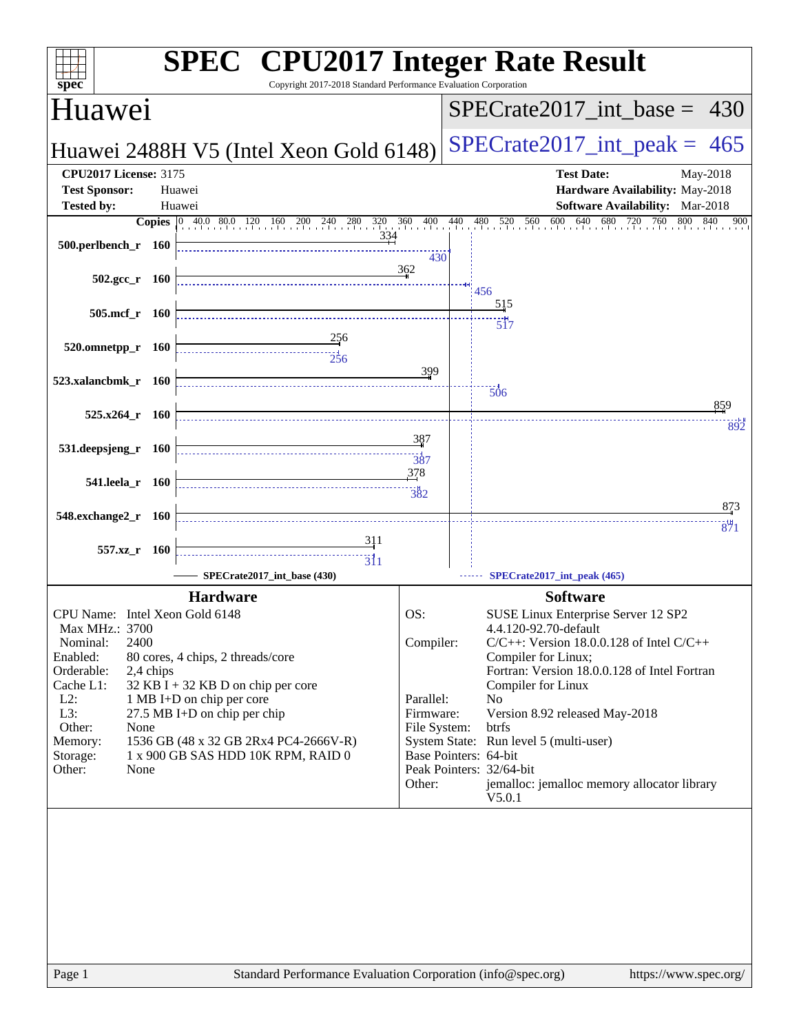| <b>SPEC<sup>®</sup></b> CPU2017 Integer Rate Result<br>Copyright 2017-2018 Standard Performance Evaluation Corporation<br>spec <sup>®</sup>                                                                                                                                |                                                                      |                                                                                                                                                                                                                                                                                                                                                                                                                                                    |  |  |  |  |
|----------------------------------------------------------------------------------------------------------------------------------------------------------------------------------------------------------------------------------------------------------------------------|----------------------------------------------------------------------|----------------------------------------------------------------------------------------------------------------------------------------------------------------------------------------------------------------------------------------------------------------------------------------------------------------------------------------------------------------------------------------------------------------------------------------------------|--|--|--|--|
|                                                                                                                                                                                                                                                                            |                                                                      | $SPECrate2017$ int base =<br>430                                                                                                                                                                                                                                                                                                                                                                                                                   |  |  |  |  |
|                                                                                                                                                                                                                                                                            |                                                                      | $SPECrate2017\_int\_peak = 465$                                                                                                                                                                                                                                                                                                                                                                                                                    |  |  |  |  |
| Huawei                                                                                                                                                                                                                                                                     | <b>Test Date:</b><br>May-2018<br>Hardware Availability: May-2018     |                                                                                                                                                                                                                                                                                                                                                                                                                                                    |  |  |  |  |
| Huawei                                                                                                                                                                                                                                                                     |                                                                      | Software Availability: Mar-2018                                                                                                                                                                                                                                                                                                                                                                                                                    |  |  |  |  |
| 334                                                                                                                                                                                                                                                                        | 430                                                                  | $640$ $680$ $720$<br>600<br>760<br>480 520 560<br>800<br>840<br>900                                                                                                                                                                                                                                                                                                                                                                                |  |  |  |  |
|                                                                                                                                                                                                                                                                            |                                                                      | 456                                                                                                                                                                                                                                                                                                                                                                                                                                                |  |  |  |  |
|                                                                                                                                                                                                                                                                            |                                                                      | 515                                                                                                                                                                                                                                                                                                                                                                                                                                                |  |  |  |  |
| $\frac{256}{4}$                                                                                                                                                                                                                                                            | 399                                                                  | $\frac{1}{517}$                                                                                                                                                                                                                                                                                                                                                                                                                                    |  |  |  |  |
|                                                                                                                                                                                                                                                                            |                                                                      | $\overline{506}$                                                                                                                                                                                                                                                                                                                                                                                                                                   |  |  |  |  |
|                                                                                                                                                                                                                                                                            |                                                                      | 859                                                                                                                                                                                                                                                                                                                                                                                                                                                |  |  |  |  |
|                                                                                                                                                                                                                                                                            | 387<br>387                                                           | 892                                                                                                                                                                                                                                                                                                                                                                                                                                                |  |  |  |  |
|                                                                                                                                                                                                                                                                            | 378<br>382                                                           | 873                                                                                                                                                                                                                                                                                                                                                                                                                                                |  |  |  |  |
| 311<br>$\overline{311}$                                                                                                                                                                                                                                                    |                                                                      | 871                                                                                                                                                                                                                                                                                                                                                                                                                                                |  |  |  |  |
|                                                                                                                                                                                                                                                                            |                                                                      | SPECrate2017_int_peak (465)                                                                                                                                                                                                                                                                                                                                                                                                                        |  |  |  |  |
| <b>Hardware</b><br>CPU Name: Intel Xeon Gold 6148<br>80 cores, 4 chips, 2 threads/core<br>$32$ KB I + 32 KB D on chip per core<br>1 MB I+D on chip per core<br>27.5 MB I+D on chip per chip<br>1536 GB (48 x 32 GB 2Rx4 PC4-2666V-R)<br>1 x 900 GB SAS HDD 10K RPM, RAID 0 | OS:<br>Compiler:<br>Parallel:<br>Firmware:<br>File System:<br>Other: | <b>Software</b><br>SUSE Linux Enterprise Server 12 SP2<br>4.4.120-92.70-default<br>$C/C++$ : Version 18.0.0.128 of Intel $C/C++$<br>Compiler for Linux;<br>Fortran: Version 18.0.0.128 of Intel Fortran<br>Compiler for Linux<br>N <sub>0</sub><br>Version 8.92 released May-2018<br>btrfs<br>System State: Run level 5 (multi-user)<br>Base Pointers: 64-bit<br>Peak Pointers: 32/64-bit<br>jemalloc: jemalloc memory allocator library<br>V5.0.1 |  |  |  |  |
|                                                                                                                                                                                                                                                                            | SPECrate2017_int_base (430)                                          | Huawei 2488H V5 (Intel Xeon Gold 6148)<br><b>Copies</b> $\begin{bmatrix} 0 & 40.0 & 80.0 & 120 & 160 & 200 & 240 & 280 & 320 & 360 & 400 & 440 \end{bmatrix}$<br>362                                                                                                                                                                                                                                                                               |  |  |  |  |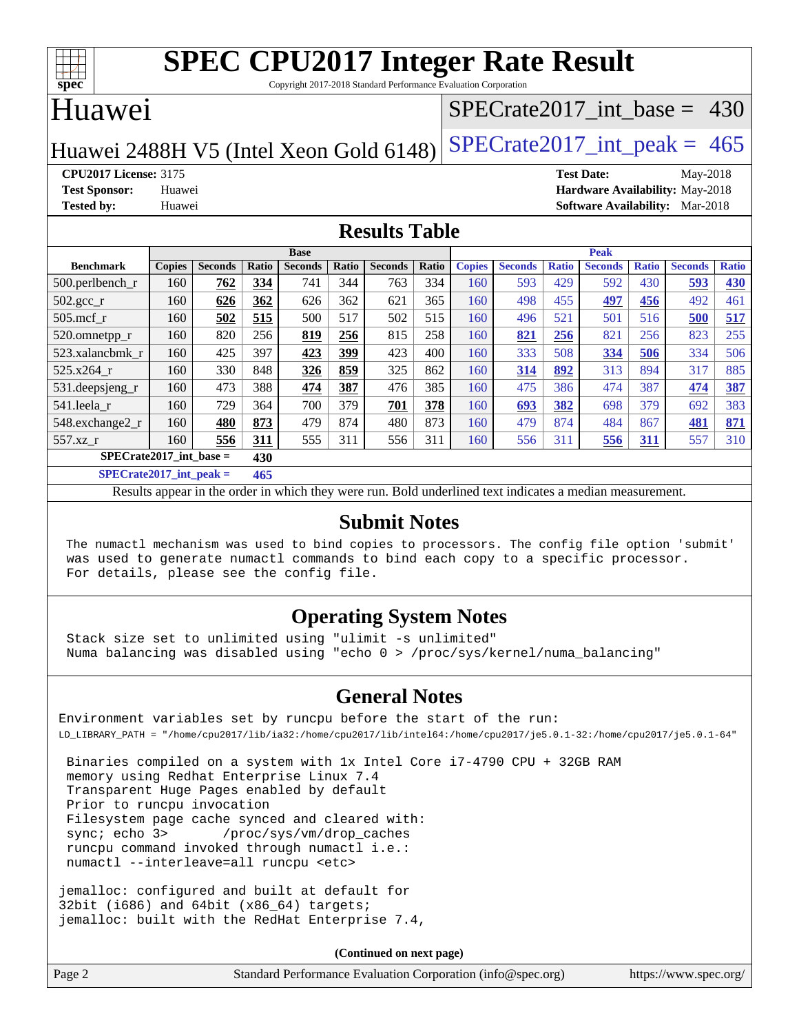

Copyright 2017-2018 Standard Performance Evaluation Corporation

### Huawei

### [SPECrate2017\\_int\\_base =](http://www.spec.org/auto/cpu2017/Docs/result-fields.html#SPECrate2017intbase) 430

Huawei 2488H V5 (Intel Xeon Gold 6148) SPECrate  $2017$ \_int\_peak = 465

**[CPU2017 License:](http://www.spec.org/auto/cpu2017/Docs/result-fields.html#CPU2017License)** 3175 **[Test Date:](http://www.spec.org/auto/cpu2017/Docs/result-fields.html#TestDate)** May-2018 **[Test Sponsor:](http://www.spec.org/auto/cpu2017/Docs/result-fields.html#TestSponsor)** Huawei **[Hardware Availability:](http://www.spec.org/auto/cpu2017/Docs/result-fields.html#HardwareAvailability)** May-2018 **[Tested by:](http://www.spec.org/auto/cpu2017/Docs/result-fields.html#Testedby)** Huawei **[Software Availability:](http://www.spec.org/auto/cpu2017/Docs/result-fields.html#SoftwareAvailability)** Mar-2018

### **[Results Table](http://www.spec.org/auto/cpu2017/Docs/result-fields.html#ResultsTable)**

|                                | <b>Base</b>   |                |       |                |       |                | <b>Peak</b> |               |                |              |                |              |                |              |
|--------------------------------|---------------|----------------|-------|----------------|-------|----------------|-------------|---------------|----------------|--------------|----------------|--------------|----------------|--------------|
| <b>Benchmark</b>               | <b>Copies</b> | <b>Seconds</b> | Ratio | <b>Seconds</b> | Ratio | <b>Seconds</b> | Ratio       | <b>Copies</b> | <b>Seconds</b> | <b>Ratio</b> | <b>Seconds</b> | <b>Ratio</b> | <b>Seconds</b> | <b>Ratio</b> |
| $500.$ perlbench_r             | 160           | 762            | 334   | 741            | 344   | 763            | 334         | 160           | 593            | 429          | 592            | 430          | 593            | 430          |
| $502.\text{gcc\_r}$            | 160           | 626            | 362   | 626            | 362   | 621            | 365         | 160           | 498            | 455          | <u>497</u>     | 456          | 492            | 461          |
| $505$ .mcf r                   | 160           | 502            | 515   | 500            | 517   | 502            | 515         | 160           | 496            | 521          | 501            | 516          | 500            | 517          |
| 520.omnetpp_r                  | 160           | 820            | 256   | 819            | 256   | 815            | 258         | 160           | 821            | 256          | 821            | 256          | 823            | 255          |
| 523.xalancbmk r                | 160           | 425            | 397   | 423            | 399   | 423            | 400         | 160           | 333            | 508          | 334            | 506          | 334            | 506          |
| $525.x264$ r                   | 160           | 330            | 848   | 326            | 859   | 325            | 862         | 160           | 314            | 892          | 313            | 894          | 317            | 885          |
| 531.deepsjeng_r                | 160           | 473            | 388   | 474            | 387   | 476            | 385         | 160           | 475            | 386          | 474            | 387          | 474            | 387          |
| 541.leela r                    | 160           | 729            | 364   | 700            | 379   | 701            | 378         | 160           | 693            | 382          | 698            | 379          | 692            | 383          |
| 548.exchange2_r                | 160           | 480            | 873   | 479            | 874   | 480            | 873         | 160           | 479            | 874          | 484            | 867          | 481            | 871          |
| 557.xz r                       | 160           | 556            | 311   | 555            | 311   | 556            | 311         | 160           | 556            | 311          | 556            | <u>311</u>   | 557            | 310          |
| SPECrate2017_int_base =<br>430 |               |                |       |                |       |                |             |               |                |              |                |              |                |              |
| $CDFCsoft2017 int model =$     |               |                | AC    |                |       |                |             |               |                |              |                |              |                |              |

**[SPECrate2017\\_int\\_peak =](http://www.spec.org/auto/cpu2017/Docs/result-fields.html#SPECrate2017intpeak) 465**

Results appear in the [order in which they were run](http://www.spec.org/auto/cpu2017/Docs/result-fields.html#RunOrder). Bold underlined text [indicates a median measurement](http://www.spec.org/auto/cpu2017/Docs/result-fields.html#Median).

### **[Submit Notes](http://www.spec.org/auto/cpu2017/Docs/result-fields.html#SubmitNotes)**

 The numactl mechanism was used to bind copies to processors. The config file option 'submit' was used to generate numactl commands to bind each copy to a specific processor. For details, please see the config file.

### **[Operating System Notes](http://www.spec.org/auto/cpu2017/Docs/result-fields.html#OperatingSystemNotes)**

 Stack size set to unlimited using "ulimit -s unlimited" Numa balancing was disabled using "echo 0 > /proc/sys/kernel/numa\_balancing"

### **[General Notes](http://www.spec.org/auto/cpu2017/Docs/result-fields.html#GeneralNotes)**

Environment variables set by runcpu before the start of the run: LD\_LIBRARY\_PATH = "/home/cpu2017/lib/ia32:/home/cpu2017/lib/intel64:/home/cpu2017/je5.0.1-32:/home/cpu2017/je5.0.1-64"

 Binaries compiled on a system with 1x Intel Core i7-4790 CPU + 32GB RAM memory using Redhat Enterprise Linux 7.4 Transparent Huge Pages enabled by default Prior to runcpu invocation Filesystem page cache synced and cleared with: sync; echo 3> /proc/sys/vm/drop\_caches runcpu command invoked through numactl i.e.: numactl --interleave=all runcpu <etc>

jemalloc: configured and built at default for 32bit (i686) and 64bit (x86\_64) targets; jemalloc: built with the RedHat Enterprise 7.4,

**(Continued on next page)**

| Standard Performance Evaluation Corporation (info@spec.org)<br>Page 2 | https://www.spec.org/ |
|-----------------------------------------------------------------------|-----------------------|
|-----------------------------------------------------------------------|-----------------------|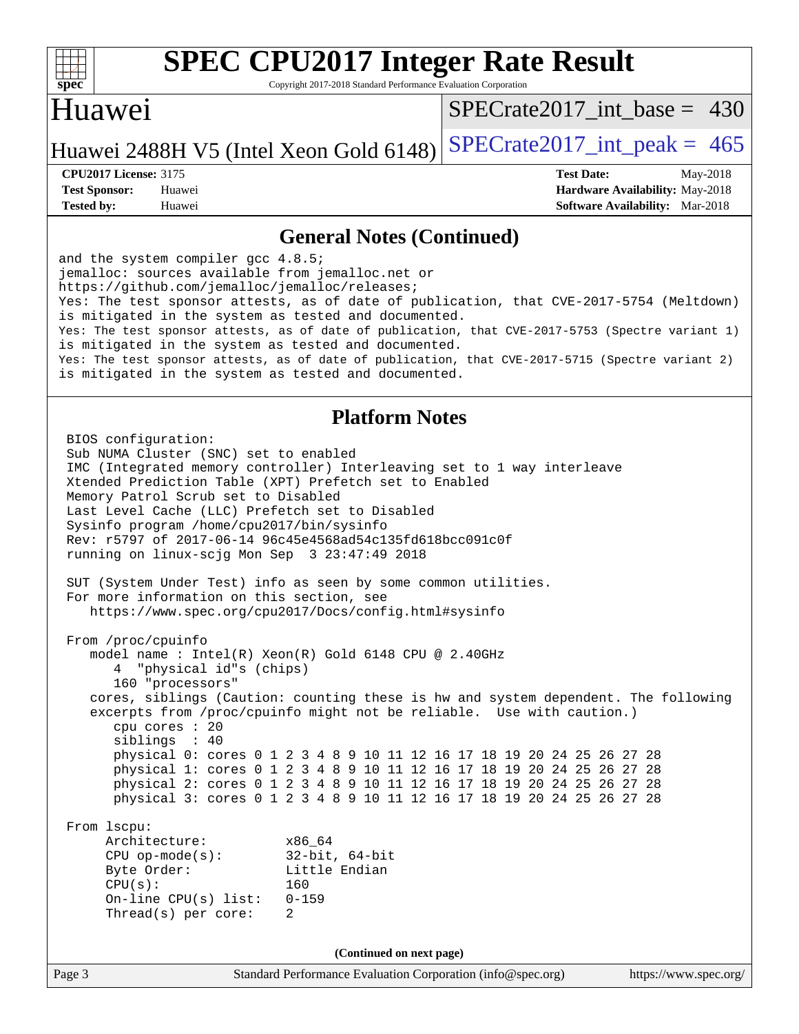

Copyright 2017-2018 Standard Performance Evaluation Corporation

## Huawei

[SPECrate2017\\_int\\_base =](http://www.spec.org/auto/cpu2017/Docs/result-fields.html#SPECrate2017intbase) 430

### Huawei 2488H V5 (Intel Xeon Gold 6148) SPECrate  $2017$  int peak = 465

**[Tested by:](http://www.spec.org/auto/cpu2017/Docs/result-fields.html#Testedby)** Huawei **[Software Availability:](http://www.spec.org/auto/cpu2017/Docs/result-fields.html#SoftwareAvailability)** Mar-2018

**[CPU2017 License:](http://www.spec.org/auto/cpu2017/Docs/result-fields.html#CPU2017License)** 3175 **[Test Date:](http://www.spec.org/auto/cpu2017/Docs/result-fields.html#TestDate)** May-2018 **[Test Sponsor:](http://www.spec.org/auto/cpu2017/Docs/result-fields.html#TestSponsor)** Huawei **[Hardware Availability:](http://www.spec.org/auto/cpu2017/Docs/result-fields.html#HardwareAvailability)** May-2018

### **[General Notes \(Continued\)](http://www.spec.org/auto/cpu2017/Docs/result-fields.html#GeneralNotes)**

and the system compiler gcc 4.8.5; jemalloc: sources available from jemalloc.net or <https://github.com/jemalloc/jemalloc/releases;> Yes: The test sponsor attests, as of date of publication, that CVE-2017-5754 (Meltdown) is mitigated in the system as tested and documented. Yes: The test sponsor attests, as of date of publication, that CVE-2017-5753 (Spectre variant 1) is mitigated in the system as tested and documented. Yes: The test sponsor attests, as of date of publication, that CVE-2017-5715 (Spectre variant 2) is mitigated in the system as tested and documented.

### **[Platform Notes](http://www.spec.org/auto/cpu2017/Docs/result-fields.html#PlatformNotes)**

Page 3 Standard Performance Evaluation Corporation [\(info@spec.org\)](mailto:info@spec.org) <https://www.spec.org/> BIOS configuration: Sub NUMA Cluster (SNC) set to enabled IMC (Integrated memory controller) Interleaving set to 1 way interleave Xtended Prediction Table (XPT) Prefetch set to Enabled Memory Patrol Scrub set to Disabled Last Level Cache (LLC) Prefetch set to Disabled Sysinfo program /home/cpu2017/bin/sysinfo Rev: r5797 of 2017-06-14 96c45e4568ad54c135fd618bcc091c0f running on linux-scjg Mon Sep 3 23:47:49 2018 SUT (System Under Test) info as seen by some common utilities. For more information on this section, see <https://www.spec.org/cpu2017/Docs/config.html#sysinfo> From /proc/cpuinfo model name : Intel(R) Xeon(R) Gold 6148 CPU @ 2.40GHz 4 "physical id"s (chips) 160 "processors" cores, siblings (Caution: counting these is hw and system dependent. The following excerpts from /proc/cpuinfo might not be reliable. Use with caution.) cpu cores : 20 siblings : 40 physical 0: cores 0 1 2 3 4 8 9 10 11 12 16 17 18 19 20 24 25 26 27 28 physical 1: cores 0 1 2 3 4 8 9 10 11 12 16 17 18 19 20 24 25 26 27 28 physical 2: cores 0 1 2 3 4 8 9 10 11 12 16 17 18 19 20 24 25 26 27 28 physical 3: cores 0 1 2 3 4 8 9 10 11 12 16 17 18 19 20 24 25 26 27 28 From lscpu: Architecture: x86\_64 CPU op-mode(s): 32-bit, 64-bit Byte Order: Little Endian CPU(s): 160 On-line CPU(s) list: 0-159 Thread(s) per core: 2 **(Continued on next page)**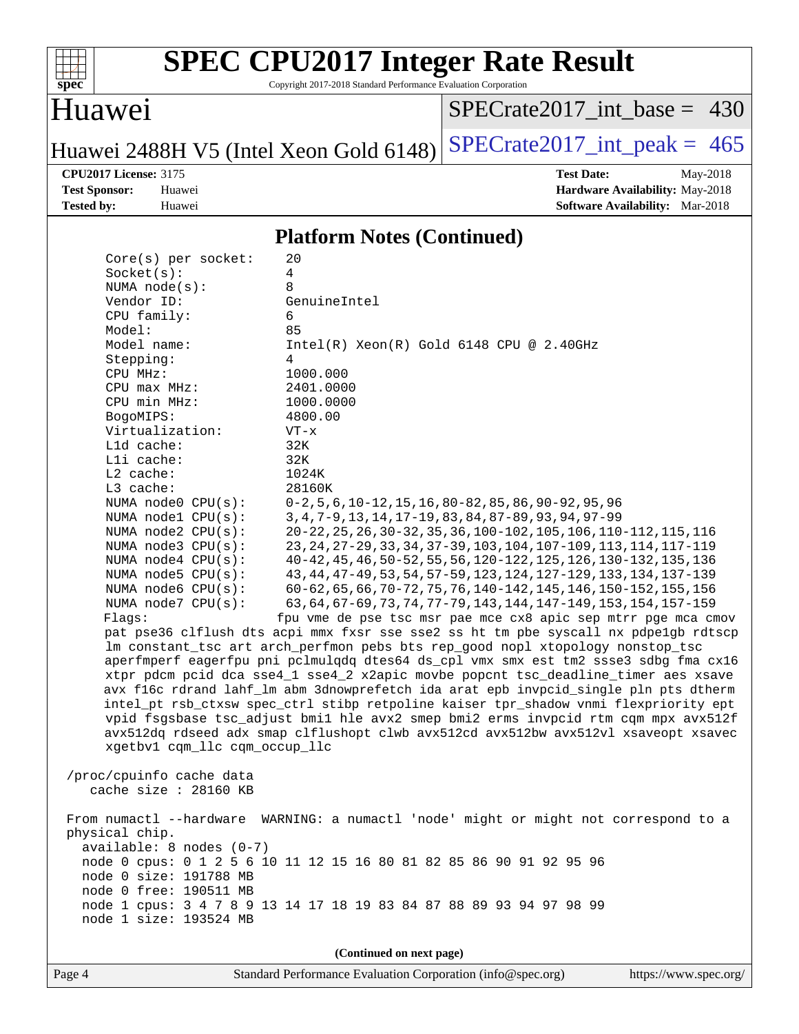

Copyright 2017-2018 Standard Performance Evaluation Corporation

### Huawei

[SPECrate2017\\_int\\_base =](http://www.spec.org/auto/cpu2017/Docs/result-fields.html#SPECrate2017intbase) 430

Huawei 2488H V5 (Intel Xeon Gold 6148) SPECrate  $2017$ \_int\_peak = 465

**[CPU2017 License:](http://www.spec.org/auto/cpu2017/Docs/result-fields.html#CPU2017License)** 3175 **[Test Date:](http://www.spec.org/auto/cpu2017/Docs/result-fields.html#TestDate)** May-2018 **[Test Sponsor:](http://www.spec.org/auto/cpu2017/Docs/result-fields.html#TestSponsor)** Huawei **[Hardware Availability:](http://www.spec.org/auto/cpu2017/Docs/result-fields.html#HardwareAvailability)** May-2018 **[Tested by:](http://www.spec.org/auto/cpu2017/Docs/result-fields.html#Testedby)** Huawei **[Software Availability:](http://www.spec.org/auto/cpu2017/Docs/result-fields.html#SoftwareAvailability)** Mar-2018

### **[Platform Notes \(Continued\)](http://www.spec.org/auto/cpu2017/Docs/result-fields.html#PlatformNotes)**

| Core(s) per socket:                            | 20                                                                                                                                       |  |  |  |  |  |
|------------------------------------------------|------------------------------------------------------------------------------------------------------------------------------------------|--|--|--|--|--|
| Socket(s):                                     | 4                                                                                                                                        |  |  |  |  |  |
| NUMA $node(s)$ :                               | 8                                                                                                                                        |  |  |  |  |  |
| Vendor ID:                                     | GenuineIntel                                                                                                                             |  |  |  |  |  |
| CPU family:                                    | 6                                                                                                                                        |  |  |  |  |  |
| Model:                                         | 85                                                                                                                                       |  |  |  |  |  |
| Model name:                                    | $Intel(R) Xeon(R) Gold 6148 CPU @ 2.40GHz$                                                                                               |  |  |  |  |  |
| Stepping:                                      | 4                                                                                                                                        |  |  |  |  |  |
| CPU MHz:                                       | 1000.000                                                                                                                                 |  |  |  |  |  |
| CPU max MHz:                                   | 2401.0000                                                                                                                                |  |  |  |  |  |
| CPU min MHz:                                   | 1000.0000                                                                                                                                |  |  |  |  |  |
| BogoMIPS:                                      | 4800.00                                                                                                                                  |  |  |  |  |  |
| Virtualization:                                | $VT - x$                                                                                                                                 |  |  |  |  |  |
| L1d cache:                                     | 32K                                                                                                                                      |  |  |  |  |  |
| Lli cache:                                     | 32K                                                                                                                                      |  |  |  |  |  |
| $L2$ cache:                                    | 1024K                                                                                                                                    |  |  |  |  |  |
| L3 cache:                                      | 28160K                                                                                                                                   |  |  |  |  |  |
| NUMA node0 CPU(s):                             | $0-2, 5, 6, 10-12, 15, 16, 80-82, 85, 86, 90-92, 95, 96$                                                                                 |  |  |  |  |  |
| NUMA node1 CPU(s):                             | 3, 4, 7-9, 13, 14, 17-19, 83, 84, 87-89, 93, 94, 97-99                                                                                   |  |  |  |  |  |
| NUMA node2 CPU(s):                             | 20-22, 25, 26, 30-32, 35, 36, 100-102, 105, 106, 110-112, 115, 116                                                                       |  |  |  |  |  |
| NUMA node3 CPU(s):                             | 23, 24, 27-29, 33, 34, 37-39, 103, 104, 107-109, 113, 114, 117-119                                                                       |  |  |  |  |  |
| NUMA $node4$ $CPU(s):$                         | 40-42, 45, 46, 50-52, 55, 56, 120-122, 125, 126, 130-132, 135, 136                                                                       |  |  |  |  |  |
| NUMA $node5$ CPU $(s)$ :<br>NUMA node6 CPU(s): | 43, 44, 47-49, 53, 54, 57-59, 123, 124, 127-129, 133, 134, 137-139                                                                       |  |  |  |  |  |
| NUMA node7 CPU(s):                             | 60-62, 65, 66, 70-72, 75, 76, 140-142, 145, 146, 150-152, 155, 156<br>63, 64, 67-69, 73, 74, 77-79, 143, 144, 147-149, 153, 154, 157-159 |  |  |  |  |  |
| Flags:                                         | fpu vme de pse tsc msr pae mce cx8 apic sep mtrr pge mca cmov                                                                            |  |  |  |  |  |
|                                                | pat pse36 clflush dts acpi mmx fxsr sse sse2 ss ht tm pbe syscall nx pdpelgb rdtscp                                                      |  |  |  |  |  |
|                                                | lm constant_tsc art arch_perfmon pebs bts rep_good nopl xtopology nonstop_tsc                                                            |  |  |  |  |  |
|                                                | aperfmperf eagerfpu pni pclmulqdq dtes64 ds_cpl vmx smx est tm2 ssse3 sdbg fma cx16                                                      |  |  |  |  |  |
|                                                | xtpr pdcm pcid dca sse4_1 sse4_2 x2apic movbe popcnt tsc_deadline_timer aes xsave                                                        |  |  |  |  |  |
|                                                | avx f16c rdrand lahf_lm abm 3dnowprefetch ida arat epb invpcid_single pln pts dtherm                                                     |  |  |  |  |  |
|                                                | intel_pt rsb_ctxsw spec_ctrl stibp retpoline kaiser tpr_shadow vnmi flexpriority ept                                                     |  |  |  |  |  |
|                                                | vpid fsgsbase tsc_adjust bmil hle avx2 smep bmi2 erms invpcid rtm cqm mpx avx512f                                                        |  |  |  |  |  |
|                                                | avx512dq rdseed adx smap clflushopt clwb avx512cd avx512bw avx512vl xsaveopt xsavec                                                      |  |  |  |  |  |
| xgetbv1 cqm_llc cqm_occup_llc                  |                                                                                                                                          |  |  |  |  |  |
|                                                |                                                                                                                                          |  |  |  |  |  |
| /proc/cpuinfo cache data                       |                                                                                                                                          |  |  |  |  |  |
| cache size : 28160 KB                          |                                                                                                                                          |  |  |  |  |  |
|                                                |                                                                                                                                          |  |  |  |  |  |
|                                                | From numactl --hardware WARNING: a numactl 'node' might or might not correspond to a                                                     |  |  |  |  |  |
| physical chip.                                 |                                                                                                                                          |  |  |  |  |  |
| $available: 8 nodes (0-7)$                     |                                                                                                                                          |  |  |  |  |  |
|                                                | node 0 cpus: 0 1 2 5 6 10 11 12 15 16 80 81 82 85 86 90 91 92 95 96                                                                      |  |  |  |  |  |
| node 0 size: 191788 MB                         |                                                                                                                                          |  |  |  |  |  |
| node 0 free: 190511 MB                         |                                                                                                                                          |  |  |  |  |  |
|                                                | node 1 cpus: 3 4 7 8 9 13 14 17 18 19 83 84 87 88 89 93 94 97 98 99                                                                      |  |  |  |  |  |
| node 1 size: 193524 MB                         |                                                                                                                                          |  |  |  |  |  |
|                                                |                                                                                                                                          |  |  |  |  |  |
| (Continued on next page)                       |                                                                                                                                          |  |  |  |  |  |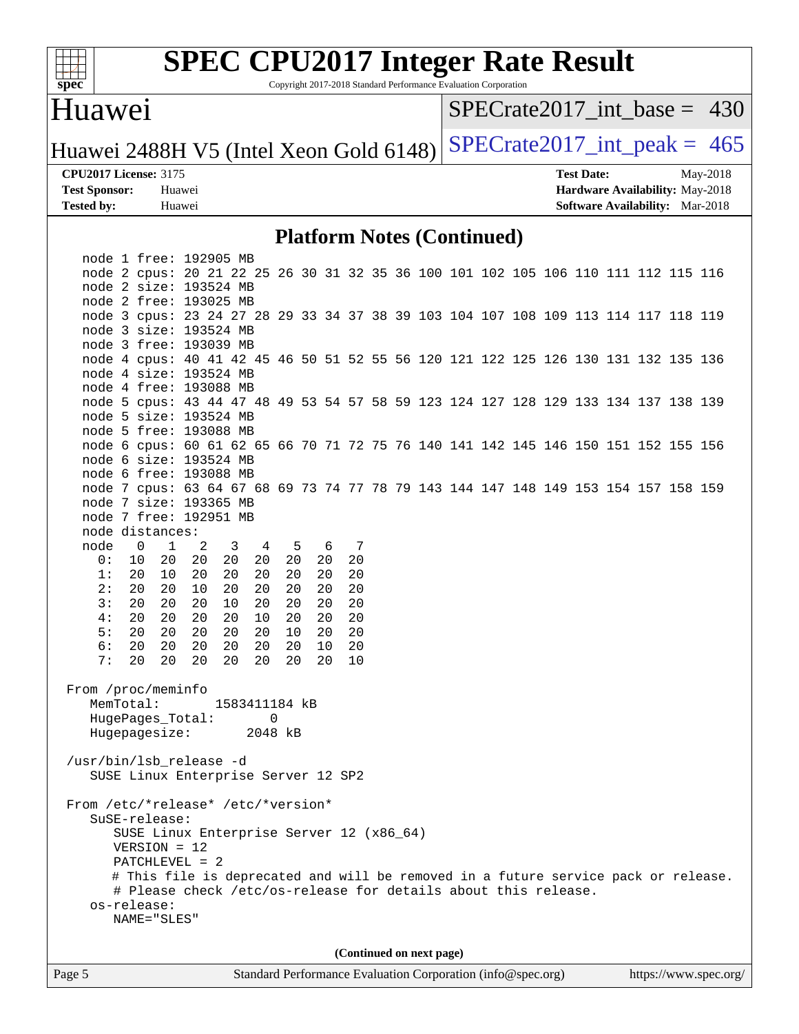

Copyright 2017-2018 Standard Performance Evaluation Corporation

### Huawei

[SPECrate2017\\_int\\_base =](http://www.spec.org/auto/cpu2017/Docs/result-fields.html#SPECrate2017intbase) 430

Huawei 2488H V5 (Intel Xeon Gold 6148) SPECrate  $2017$ \_int\_peak = 465

**[CPU2017 License:](http://www.spec.org/auto/cpu2017/Docs/result-fields.html#CPU2017License)** 3175 **[Test Date:](http://www.spec.org/auto/cpu2017/Docs/result-fields.html#TestDate)** May-2018 **[Test Sponsor:](http://www.spec.org/auto/cpu2017/Docs/result-fields.html#TestSponsor)** Huawei **[Hardware Availability:](http://www.spec.org/auto/cpu2017/Docs/result-fields.html#HardwareAvailability)** May-2018 **[Tested by:](http://www.spec.org/auto/cpu2017/Docs/result-fields.html#Testedby)** Huawei **[Software Availability:](http://www.spec.org/auto/cpu2017/Docs/result-fields.html#SoftwareAvailability)** Mar-2018

### **[Platform Notes \(Continued\)](http://www.spec.org/auto/cpu2017/Docs/result-fields.html#PlatformNotes)**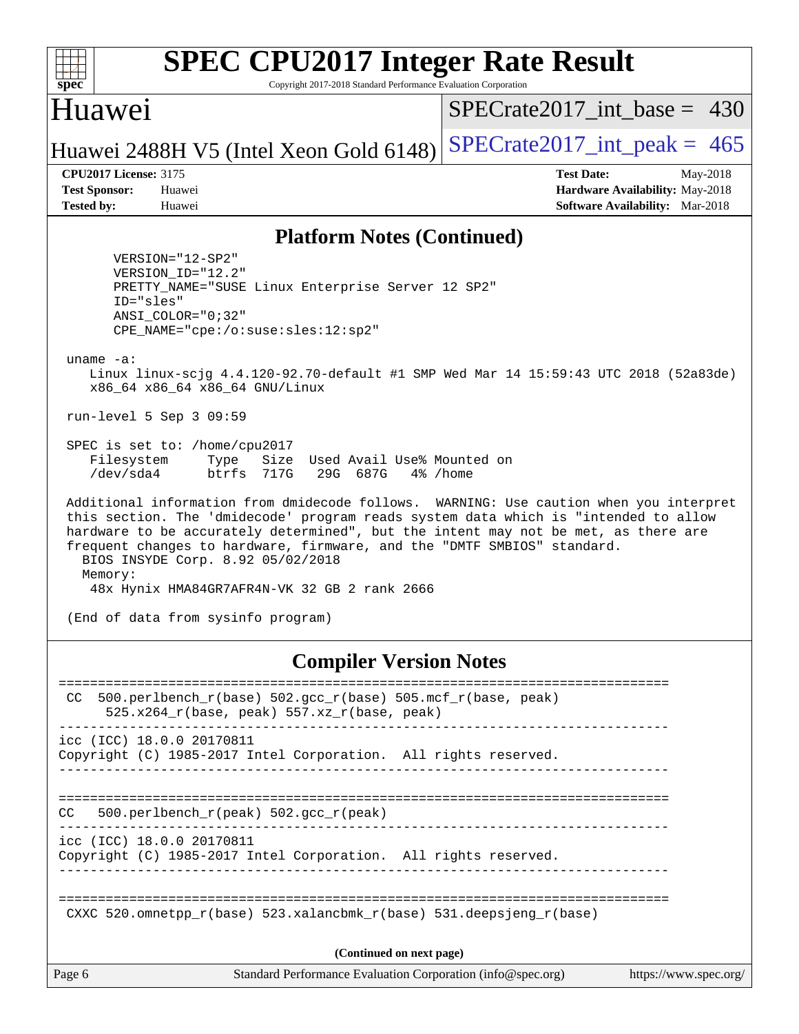

Copyright 2017-2018 Standard Performance Evaluation Corporation

### Huawei

[SPECrate2017\\_int\\_base =](http://www.spec.org/auto/cpu2017/Docs/result-fields.html#SPECrate2017intbase) 430

## Huawei 2488H V5 (Intel Xeon Gold 6148) SPECrate  $2017$ \_int\_peak = 465

**[CPU2017 License:](http://www.spec.org/auto/cpu2017/Docs/result-fields.html#CPU2017License)** 3175 **[Test Date:](http://www.spec.org/auto/cpu2017/Docs/result-fields.html#TestDate)** May-2018 **[Test Sponsor:](http://www.spec.org/auto/cpu2017/Docs/result-fields.html#TestSponsor)** Huawei **[Hardware Availability:](http://www.spec.org/auto/cpu2017/Docs/result-fields.html#HardwareAvailability)** May-2018 **[Tested by:](http://www.spec.org/auto/cpu2017/Docs/result-fields.html#Testedby)** Huawei **[Software Availability:](http://www.spec.org/auto/cpu2017/Docs/result-fields.html#SoftwareAvailability)** Mar-2018

### **[Platform Notes \(Continued\)](http://www.spec.org/auto/cpu2017/Docs/result-fields.html#PlatformNotes)**

 VERSION="12-SP2" VERSION\_ID="12.2" PRETTY\_NAME="SUSE Linux Enterprise Server 12 SP2" ID="sles" ANSI\_COLOR="0;32" CPE\_NAME="cpe:/o:suse:sles:12:sp2"

uname -a:

 Linux linux-scjg 4.4.120-92.70-default #1 SMP Wed Mar 14 15:59:43 UTC 2018 (52a83de) x86\_64 x86\_64 x86\_64 GNU/Linux

run-level 5 Sep 3 09:59

 SPEC is set to: /home/cpu2017 Filesystem Type Size Used Avail Use% Mounted on /dev/sda4 btrfs 717G 29G 687G 4% /home

 Additional information from dmidecode follows. WARNING: Use caution when you interpret this section. The 'dmidecode' program reads system data which is "intended to allow hardware to be accurately determined", but the intent may not be met, as there are frequent changes to hardware, firmware, and the "DMTF SMBIOS" standard. BIOS INSYDE Corp. 8.92 05/02/2018 Memory: 48x Hynix HMA84GR7AFR4N-VK 32 GB 2 rank 2666

(End of data from sysinfo program)

### **[Compiler Version Notes](http://www.spec.org/auto/cpu2017/Docs/result-fields.html#CompilerVersionNotes)**

Page 6 Standard Performance Evaluation Corporation [\(info@spec.org\)](mailto:info@spec.org) <https://www.spec.org/> ============================================================================== CC 500.perlbench  $r(base)$  502.gcc  $r(base)$  505.mcf  $r(base, peak)$  $525.x264_r(base, peak)$  557.xz $r(base, peak)$ ----------------------------------------------------------------------------- icc (ICC) 18.0.0 20170811 Copyright (C) 1985-2017 Intel Corporation. All rights reserved. ------------------------------------------------------------------------------ ============================================================================== CC 500.perlbench\_r(peak) 502.gcc\_r(peak) ----------------------------------------------------------------------------- icc (ICC) 18.0.0 20170811 Copyright (C) 1985-2017 Intel Corporation. All rights reserved. ------------------------------------------------------------------------------ ============================================================================== CXXC 520.omnetpp  $r(base)$  523.xalancbmk  $r(base)$  531.deepsjeng  $r(base)$ **(Continued on next page)**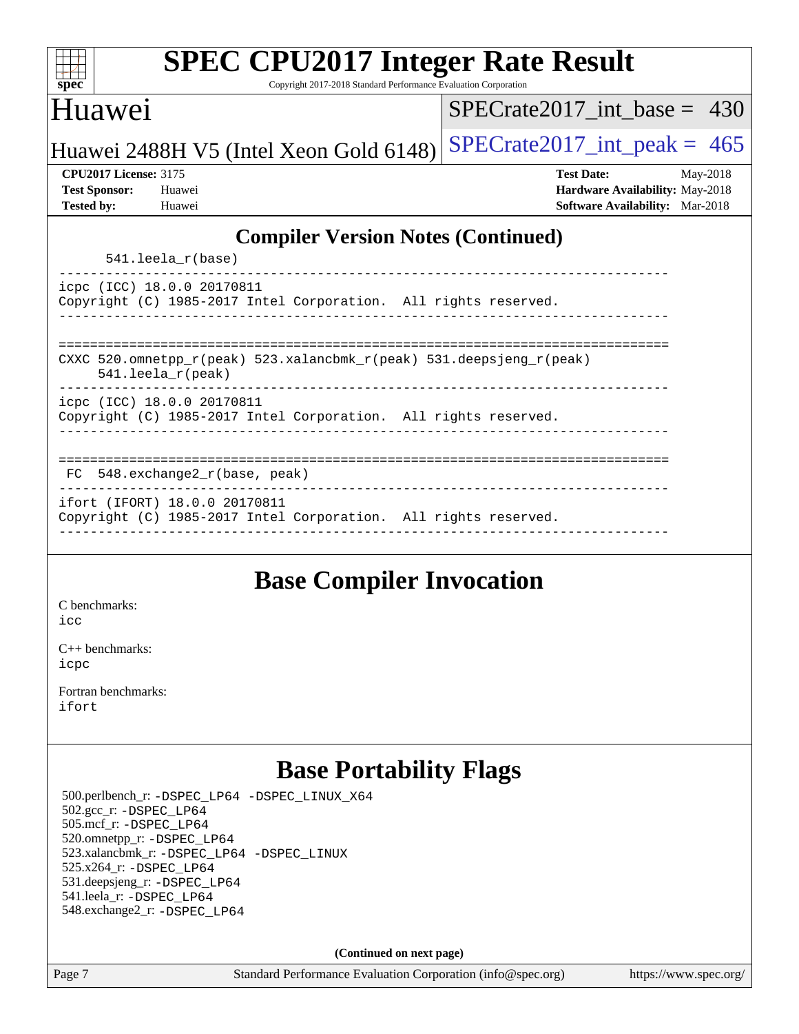| <b>SPEC CPU2017 Integer Rate Result</b>                                                      |                                        |  |  |  |  |  |
|----------------------------------------------------------------------------------------------|----------------------------------------|--|--|--|--|--|
| Copyright 2017-2018 Standard Performance Evaluation Corporation<br>spec <sup>®</sup>         |                                        |  |  |  |  |  |
| Huawei                                                                                       | SPECrate2017 int base = $430$          |  |  |  |  |  |
| Huawei 2488H V5 (Intel Xeon Gold 6148)                                                       | $SPECrate2017\_int\_peak = 465$        |  |  |  |  |  |
| <b>CPU2017 License: 3175</b>                                                                 | <b>Test Date:</b><br>May-2018          |  |  |  |  |  |
| <b>Test Sponsor:</b><br>Huawei                                                               | Hardware Availability: May-2018        |  |  |  |  |  |
| <b>Tested by:</b><br>Huawei                                                                  | <b>Software Availability:</b> Mar-2018 |  |  |  |  |  |
| <b>Compiler Version Notes (Continued)</b>                                                    |                                        |  |  |  |  |  |
| $541.$ leela $r(base)$                                                                       |                                        |  |  |  |  |  |
|                                                                                              |                                        |  |  |  |  |  |
| icpc (ICC) 18.0.0 20170811                                                                   |                                        |  |  |  |  |  |
| Copyright (C) 1985-2017 Intel Corporation. All rights reserved.                              |                                        |  |  |  |  |  |
|                                                                                              |                                        |  |  |  |  |  |
|                                                                                              |                                        |  |  |  |  |  |
| CXXC 520.omnetpp_r(peak) 523.xalancbmk_r(peak) 531.deepsjeng_r(peak)<br>$541.$ leela_r(peak) |                                        |  |  |  |  |  |
|                                                                                              |                                        |  |  |  |  |  |
| icpc (ICC) 18.0.0 20170811                                                                   |                                        |  |  |  |  |  |
| Copyright (C) 1985-2017 Intel Corporation. All rights reserved.                              |                                        |  |  |  |  |  |
|                                                                                              |                                        |  |  |  |  |  |
|                                                                                              |                                        |  |  |  |  |  |
| $FC$ 548. exchange $2r(base, peak)$                                                          |                                        |  |  |  |  |  |
| ifort (IFORT) 18.0.0 20170811                                                                |                                        |  |  |  |  |  |
| Copyright (C) 1985-2017 Intel Corporation. All rights reserved.                              |                                        |  |  |  |  |  |
|                                                                                              |                                        |  |  |  |  |  |
|                                                                                              |                                        |  |  |  |  |  |

## **[Base Compiler Invocation](http://www.spec.org/auto/cpu2017/Docs/result-fields.html#BaseCompilerInvocation)**

[C benchmarks](http://www.spec.org/auto/cpu2017/Docs/result-fields.html#Cbenchmarks): [icc](http://www.spec.org/cpu2017/results/res2018q4/cpu2017-20180906-08816.flags.html#user_CCbase_intel_icc_18.0_66fc1ee009f7361af1fbd72ca7dcefbb700085f36577c54f309893dd4ec40d12360134090235512931783d35fd58c0460139e722d5067c5574d8eaf2b3e37e92)

[C++ benchmarks:](http://www.spec.org/auto/cpu2017/Docs/result-fields.html#CXXbenchmarks) [icpc](http://www.spec.org/cpu2017/results/res2018q4/cpu2017-20180906-08816.flags.html#user_CXXbase_intel_icpc_18.0_c510b6838c7f56d33e37e94d029a35b4a7bccf4766a728ee175e80a419847e808290a9b78be685c44ab727ea267ec2f070ec5dc83b407c0218cded6866a35d07)

[Fortran benchmarks](http://www.spec.org/auto/cpu2017/Docs/result-fields.html#Fortranbenchmarks): [ifort](http://www.spec.org/cpu2017/results/res2018q4/cpu2017-20180906-08816.flags.html#user_FCbase_intel_ifort_18.0_8111460550e3ca792625aed983ce982f94888b8b503583aa7ba2b8303487b4d8a21a13e7191a45c5fd58ff318f48f9492884d4413fa793fd88dd292cad7027ca)

## **[Base Portability Flags](http://www.spec.org/auto/cpu2017/Docs/result-fields.html#BasePortabilityFlags)**

 500.perlbench\_r: [-DSPEC\\_LP64](http://www.spec.org/cpu2017/results/res2018q4/cpu2017-20180906-08816.flags.html#b500.perlbench_r_basePORTABILITY_DSPEC_LP64) [-DSPEC\\_LINUX\\_X64](http://www.spec.org/cpu2017/results/res2018q4/cpu2017-20180906-08816.flags.html#b500.perlbench_r_baseCPORTABILITY_DSPEC_LINUX_X64) 502.gcc\_r: [-DSPEC\\_LP64](http://www.spec.org/cpu2017/results/res2018q4/cpu2017-20180906-08816.flags.html#suite_basePORTABILITY502_gcc_r_DSPEC_LP64) 505.mcf\_r: [-DSPEC\\_LP64](http://www.spec.org/cpu2017/results/res2018q4/cpu2017-20180906-08816.flags.html#suite_basePORTABILITY505_mcf_r_DSPEC_LP64) 520.omnetpp\_r: [-DSPEC\\_LP64](http://www.spec.org/cpu2017/results/res2018q4/cpu2017-20180906-08816.flags.html#suite_basePORTABILITY520_omnetpp_r_DSPEC_LP64) 523.xalancbmk\_r: [-DSPEC\\_LP64](http://www.spec.org/cpu2017/results/res2018q4/cpu2017-20180906-08816.flags.html#suite_basePORTABILITY523_xalancbmk_r_DSPEC_LP64) [-DSPEC\\_LINUX](http://www.spec.org/cpu2017/results/res2018q4/cpu2017-20180906-08816.flags.html#b523.xalancbmk_r_baseCXXPORTABILITY_DSPEC_LINUX) 525.x264\_r: [-DSPEC\\_LP64](http://www.spec.org/cpu2017/results/res2018q4/cpu2017-20180906-08816.flags.html#suite_basePORTABILITY525_x264_r_DSPEC_LP64) 531.deepsjeng\_r: [-DSPEC\\_LP64](http://www.spec.org/cpu2017/results/res2018q4/cpu2017-20180906-08816.flags.html#suite_basePORTABILITY531_deepsjeng_r_DSPEC_LP64) 541.leela\_r: [-DSPEC\\_LP64](http://www.spec.org/cpu2017/results/res2018q4/cpu2017-20180906-08816.flags.html#suite_basePORTABILITY541_leela_r_DSPEC_LP64) 548.exchange2\_r: [-DSPEC\\_LP64](http://www.spec.org/cpu2017/results/res2018q4/cpu2017-20180906-08816.flags.html#suite_basePORTABILITY548_exchange2_r_DSPEC_LP64)

**(Continued on next page)**

Page 7 Standard Performance Evaluation Corporation [\(info@spec.org\)](mailto:info@spec.org) <https://www.spec.org/>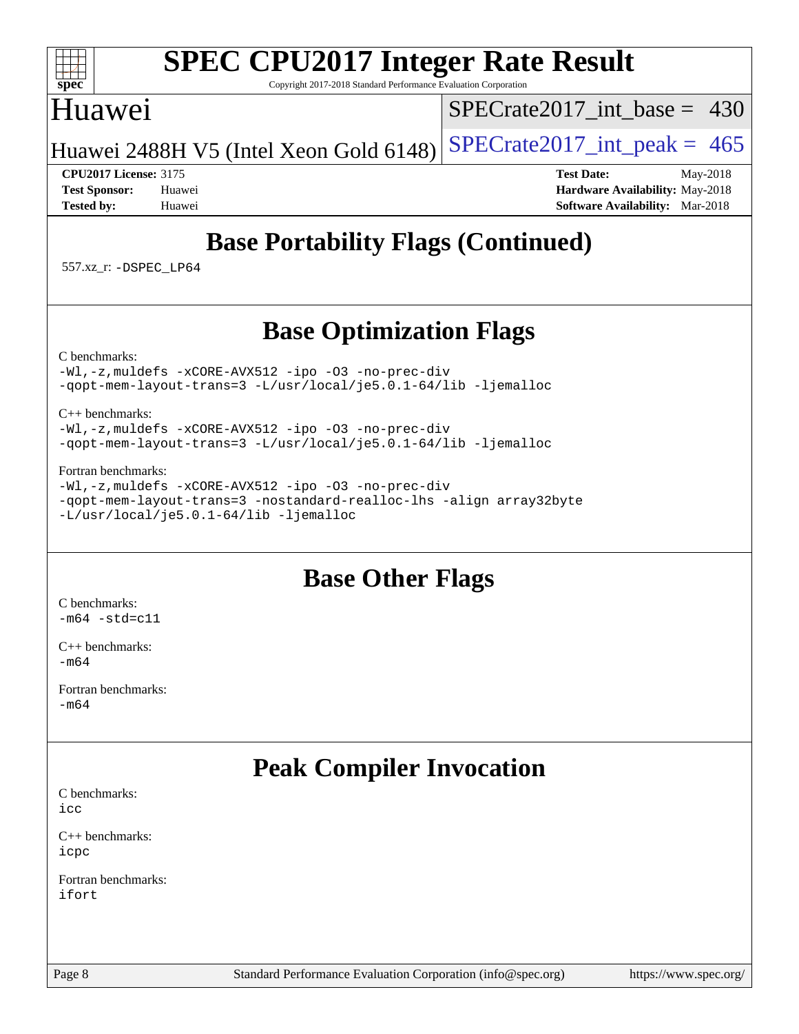### $+\ +$ [spec](http://www.spec.org/)<sup>®</sup>

# **[SPEC CPU2017 Integer Rate Result](http://www.spec.org/auto/cpu2017/Docs/result-fields.html#SPECCPU2017IntegerRateResult)**

Copyright 2017-2018 Standard Performance Evaluation Corporation

## Huawei

[SPECrate2017\\_int\\_base =](http://www.spec.org/auto/cpu2017/Docs/result-fields.html#SPECrate2017intbase) 430

Huawei 2488H V5 (Intel Xeon Gold 6148) SPECrate  $2017$ \_int\_peak = 465

**[CPU2017 License:](http://www.spec.org/auto/cpu2017/Docs/result-fields.html#CPU2017License)** 3175 **[Test Date:](http://www.spec.org/auto/cpu2017/Docs/result-fields.html#TestDate)** May-2018 **[Test Sponsor:](http://www.spec.org/auto/cpu2017/Docs/result-fields.html#TestSponsor)** Huawei **[Hardware Availability:](http://www.spec.org/auto/cpu2017/Docs/result-fields.html#HardwareAvailability)** May-2018 **[Tested by:](http://www.spec.org/auto/cpu2017/Docs/result-fields.html#Testedby)** Huawei **[Software Availability:](http://www.spec.org/auto/cpu2017/Docs/result-fields.html#SoftwareAvailability)** Mar-2018

# **[Base Portability Flags \(Continued\)](http://www.spec.org/auto/cpu2017/Docs/result-fields.html#BasePortabilityFlags)**

557.xz\_r: [-DSPEC\\_LP64](http://www.spec.org/cpu2017/results/res2018q4/cpu2017-20180906-08816.flags.html#suite_basePORTABILITY557_xz_r_DSPEC_LP64)

# **[Base Optimization Flags](http://www.spec.org/auto/cpu2017/Docs/result-fields.html#BaseOptimizationFlags)**

[C benchmarks](http://www.spec.org/auto/cpu2017/Docs/result-fields.html#Cbenchmarks):

[-Wl,-z,muldefs](http://www.spec.org/cpu2017/results/res2018q4/cpu2017-20180906-08816.flags.html#user_CCbase_link_force_multiple1_b4cbdb97b34bdee9ceefcfe54f4c8ea74255f0b02a4b23e853cdb0e18eb4525ac79b5a88067c842dd0ee6996c24547a27a4b99331201badda8798ef8a743f577) [-xCORE-AVX512](http://www.spec.org/cpu2017/results/res2018q4/cpu2017-20180906-08816.flags.html#user_CCbase_f-xCORE-AVX512) [-ipo](http://www.spec.org/cpu2017/results/res2018q4/cpu2017-20180906-08816.flags.html#user_CCbase_f-ipo) [-O3](http://www.spec.org/cpu2017/results/res2018q4/cpu2017-20180906-08816.flags.html#user_CCbase_f-O3) [-no-prec-div](http://www.spec.org/cpu2017/results/res2018q4/cpu2017-20180906-08816.flags.html#user_CCbase_f-no-prec-div) [-qopt-mem-layout-trans=3](http://www.spec.org/cpu2017/results/res2018q4/cpu2017-20180906-08816.flags.html#user_CCbase_f-qopt-mem-layout-trans_de80db37974c74b1f0e20d883f0b675c88c3b01e9d123adea9b28688d64333345fb62bc4a798493513fdb68f60282f9a726aa07f478b2f7113531aecce732043) [-L/usr/local/je5.0.1-64/lib](http://www.spec.org/cpu2017/results/res2018q4/cpu2017-20180906-08816.flags.html#user_CCbase_jemalloc_link_path64_4b10a636b7bce113509b17f3bd0d6226c5fb2346b9178c2d0232c14f04ab830f976640479e5c33dc2bcbbdad86ecfb6634cbbd4418746f06f368b512fced5394) [-ljemalloc](http://www.spec.org/cpu2017/results/res2018q4/cpu2017-20180906-08816.flags.html#user_CCbase_jemalloc_link_lib_d1249b907c500fa1c0672f44f562e3d0f79738ae9e3c4a9c376d49f265a04b9c99b167ecedbf6711b3085be911c67ff61f150a17b3472be731631ba4d0471706)

[C++ benchmarks:](http://www.spec.org/auto/cpu2017/Docs/result-fields.html#CXXbenchmarks)

[-Wl,-z,muldefs](http://www.spec.org/cpu2017/results/res2018q4/cpu2017-20180906-08816.flags.html#user_CXXbase_link_force_multiple1_b4cbdb97b34bdee9ceefcfe54f4c8ea74255f0b02a4b23e853cdb0e18eb4525ac79b5a88067c842dd0ee6996c24547a27a4b99331201badda8798ef8a743f577) [-xCORE-AVX512](http://www.spec.org/cpu2017/results/res2018q4/cpu2017-20180906-08816.flags.html#user_CXXbase_f-xCORE-AVX512) [-ipo](http://www.spec.org/cpu2017/results/res2018q4/cpu2017-20180906-08816.flags.html#user_CXXbase_f-ipo) [-O3](http://www.spec.org/cpu2017/results/res2018q4/cpu2017-20180906-08816.flags.html#user_CXXbase_f-O3) [-no-prec-div](http://www.spec.org/cpu2017/results/res2018q4/cpu2017-20180906-08816.flags.html#user_CXXbase_f-no-prec-div) [-qopt-mem-layout-trans=3](http://www.spec.org/cpu2017/results/res2018q4/cpu2017-20180906-08816.flags.html#user_CXXbase_f-qopt-mem-layout-trans_de80db37974c74b1f0e20d883f0b675c88c3b01e9d123adea9b28688d64333345fb62bc4a798493513fdb68f60282f9a726aa07f478b2f7113531aecce732043) [-L/usr/local/je5.0.1-64/lib](http://www.spec.org/cpu2017/results/res2018q4/cpu2017-20180906-08816.flags.html#user_CXXbase_jemalloc_link_path64_4b10a636b7bce113509b17f3bd0d6226c5fb2346b9178c2d0232c14f04ab830f976640479e5c33dc2bcbbdad86ecfb6634cbbd4418746f06f368b512fced5394) [-ljemalloc](http://www.spec.org/cpu2017/results/res2018q4/cpu2017-20180906-08816.flags.html#user_CXXbase_jemalloc_link_lib_d1249b907c500fa1c0672f44f562e3d0f79738ae9e3c4a9c376d49f265a04b9c99b167ecedbf6711b3085be911c67ff61f150a17b3472be731631ba4d0471706)

### [Fortran benchmarks](http://www.spec.org/auto/cpu2017/Docs/result-fields.html#Fortranbenchmarks):

[-Wl,-z,muldefs](http://www.spec.org/cpu2017/results/res2018q4/cpu2017-20180906-08816.flags.html#user_FCbase_link_force_multiple1_b4cbdb97b34bdee9ceefcfe54f4c8ea74255f0b02a4b23e853cdb0e18eb4525ac79b5a88067c842dd0ee6996c24547a27a4b99331201badda8798ef8a743f577) [-xCORE-AVX512](http://www.spec.org/cpu2017/results/res2018q4/cpu2017-20180906-08816.flags.html#user_FCbase_f-xCORE-AVX512) [-ipo](http://www.spec.org/cpu2017/results/res2018q4/cpu2017-20180906-08816.flags.html#user_FCbase_f-ipo) [-O3](http://www.spec.org/cpu2017/results/res2018q4/cpu2017-20180906-08816.flags.html#user_FCbase_f-O3) [-no-prec-div](http://www.spec.org/cpu2017/results/res2018q4/cpu2017-20180906-08816.flags.html#user_FCbase_f-no-prec-div) [-qopt-mem-layout-trans=3](http://www.spec.org/cpu2017/results/res2018q4/cpu2017-20180906-08816.flags.html#user_FCbase_f-qopt-mem-layout-trans_de80db37974c74b1f0e20d883f0b675c88c3b01e9d123adea9b28688d64333345fb62bc4a798493513fdb68f60282f9a726aa07f478b2f7113531aecce732043) [-nostandard-realloc-lhs](http://www.spec.org/cpu2017/results/res2018q4/cpu2017-20180906-08816.flags.html#user_FCbase_f_2003_std_realloc_82b4557e90729c0f113870c07e44d33d6f5a304b4f63d4c15d2d0f1fab99f5daaed73bdb9275d9ae411527f28b936061aa8b9c8f2d63842963b95c9dd6426b8a) [-align array32byte](http://www.spec.org/cpu2017/results/res2018q4/cpu2017-20180906-08816.flags.html#user_FCbase_align_array32byte_b982fe038af199962ba9a80c053b8342c548c85b40b8e86eb3cc33dee0d7986a4af373ac2d51c3f7cf710a18d62fdce2948f201cd044323541f22fc0fffc51b6) [-L/usr/local/je5.0.1-64/lib](http://www.spec.org/cpu2017/results/res2018q4/cpu2017-20180906-08816.flags.html#user_FCbase_jemalloc_link_path64_4b10a636b7bce113509b17f3bd0d6226c5fb2346b9178c2d0232c14f04ab830f976640479e5c33dc2bcbbdad86ecfb6634cbbd4418746f06f368b512fced5394) [-ljemalloc](http://www.spec.org/cpu2017/results/res2018q4/cpu2017-20180906-08816.flags.html#user_FCbase_jemalloc_link_lib_d1249b907c500fa1c0672f44f562e3d0f79738ae9e3c4a9c376d49f265a04b9c99b167ecedbf6711b3085be911c67ff61f150a17b3472be731631ba4d0471706)

## **[Base Other Flags](http://www.spec.org/auto/cpu2017/Docs/result-fields.html#BaseOtherFlags)**

[C benchmarks](http://www.spec.org/auto/cpu2017/Docs/result-fields.html#Cbenchmarks):  $-m64 - std= c11$  $-m64 - std= c11$ 

[C++ benchmarks:](http://www.spec.org/auto/cpu2017/Docs/result-fields.html#CXXbenchmarks) [-m64](http://www.spec.org/cpu2017/results/res2018q4/cpu2017-20180906-08816.flags.html#user_CXXbase_intel_intel64_18.0_af43caccfc8ded86e7699f2159af6efc7655f51387b94da716254467f3c01020a5059329e2569e4053f409e7c9202a7efc638f7a6d1ffb3f52dea4a3e31d82ab)

[Fortran benchmarks](http://www.spec.org/auto/cpu2017/Docs/result-fields.html#Fortranbenchmarks): [-m64](http://www.spec.org/cpu2017/results/res2018q4/cpu2017-20180906-08816.flags.html#user_FCbase_intel_intel64_18.0_af43caccfc8ded86e7699f2159af6efc7655f51387b94da716254467f3c01020a5059329e2569e4053f409e7c9202a7efc638f7a6d1ffb3f52dea4a3e31d82ab)

# **[Peak Compiler Invocation](http://www.spec.org/auto/cpu2017/Docs/result-fields.html#PeakCompilerInvocation)**

[C benchmarks](http://www.spec.org/auto/cpu2017/Docs/result-fields.html#Cbenchmarks): [icc](http://www.spec.org/cpu2017/results/res2018q4/cpu2017-20180906-08816.flags.html#user_CCpeak_intel_icc_18.0_66fc1ee009f7361af1fbd72ca7dcefbb700085f36577c54f309893dd4ec40d12360134090235512931783d35fd58c0460139e722d5067c5574d8eaf2b3e37e92)

[C++ benchmarks:](http://www.spec.org/auto/cpu2017/Docs/result-fields.html#CXXbenchmarks) [icpc](http://www.spec.org/cpu2017/results/res2018q4/cpu2017-20180906-08816.flags.html#user_CXXpeak_intel_icpc_18.0_c510b6838c7f56d33e37e94d029a35b4a7bccf4766a728ee175e80a419847e808290a9b78be685c44ab727ea267ec2f070ec5dc83b407c0218cded6866a35d07)

[Fortran benchmarks](http://www.spec.org/auto/cpu2017/Docs/result-fields.html#Fortranbenchmarks): [ifort](http://www.spec.org/cpu2017/results/res2018q4/cpu2017-20180906-08816.flags.html#user_FCpeak_intel_ifort_18.0_8111460550e3ca792625aed983ce982f94888b8b503583aa7ba2b8303487b4d8a21a13e7191a45c5fd58ff318f48f9492884d4413fa793fd88dd292cad7027ca)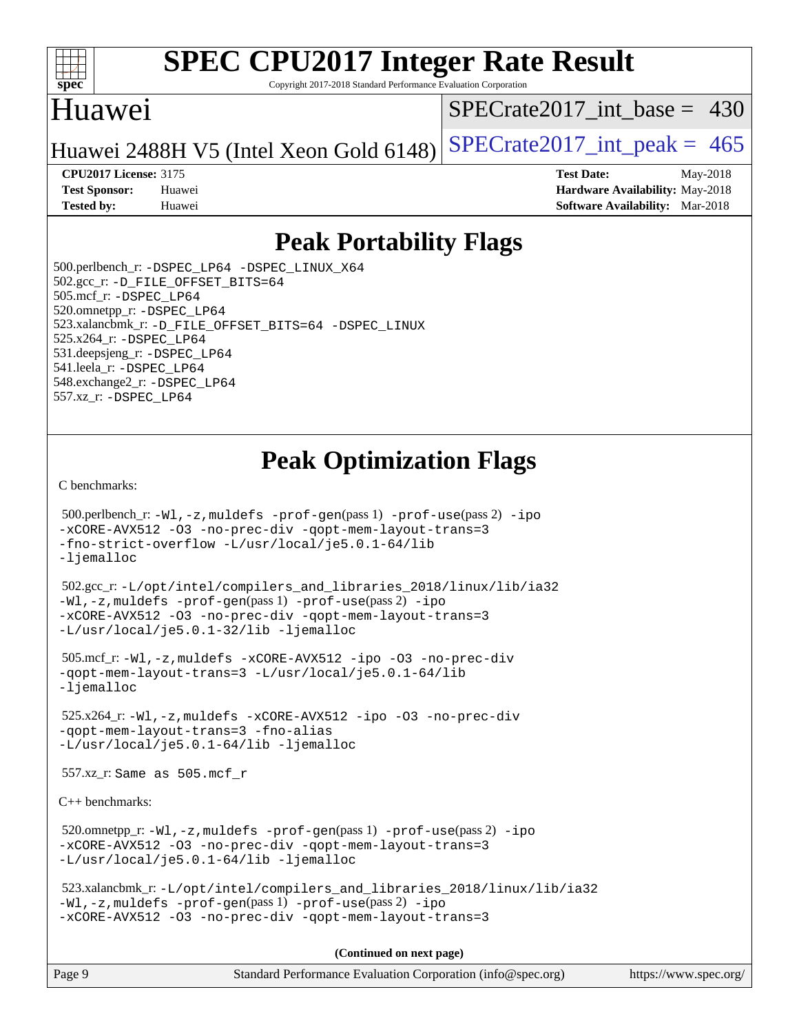

Copyright 2017-2018 Standard Performance Evaluation Corporation

## Huawei

[SPECrate2017\\_int\\_base =](http://www.spec.org/auto/cpu2017/Docs/result-fields.html#SPECrate2017intbase) 430

Huawei 2488H V5 (Intel Xeon Gold 6148) SPECrate  $2017$  int peak = 465

**[CPU2017 License:](http://www.spec.org/auto/cpu2017/Docs/result-fields.html#CPU2017License)** 3175 **[Test Date:](http://www.spec.org/auto/cpu2017/Docs/result-fields.html#TestDate)** May-2018 **[Test Sponsor:](http://www.spec.org/auto/cpu2017/Docs/result-fields.html#TestSponsor)** Huawei **[Hardware Availability:](http://www.spec.org/auto/cpu2017/Docs/result-fields.html#HardwareAvailability)** May-2018 **[Tested by:](http://www.spec.org/auto/cpu2017/Docs/result-fields.html#Testedby)** Huawei **[Software Availability:](http://www.spec.org/auto/cpu2017/Docs/result-fields.html#SoftwareAvailability)** Mar-2018

# **[Peak Portability Flags](http://www.spec.org/auto/cpu2017/Docs/result-fields.html#PeakPortabilityFlags)**

 500.perlbench\_r: [-DSPEC\\_LP64](http://www.spec.org/cpu2017/results/res2018q4/cpu2017-20180906-08816.flags.html#b500.perlbench_r_peakPORTABILITY_DSPEC_LP64) [-DSPEC\\_LINUX\\_X64](http://www.spec.org/cpu2017/results/res2018q4/cpu2017-20180906-08816.flags.html#b500.perlbench_r_peakCPORTABILITY_DSPEC_LINUX_X64) 502.gcc\_r: [-D\\_FILE\\_OFFSET\\_BITS=64](http://www.spec.org/cpu2017/results/res2018q4/cpu2017-20180906-08816.flags.html#user_peakPORTABILITY502_gcc_r_file_offset_bits_64_5ae949a99b284ddf4e95728d47cb0843d81b2eb0e18bdfe74bbf0f61d0b064f4bda2f10ea5eb90e1dcab0e84dbc592acfc5018bc955c18609f94ddb8d550002c) 505.mcf\_r: [-DSPEC\\_LP64](http://www.spec.org/cpu2017/results/res2018q4/cpu2017-20180906-08816.flags.html#suite_peakPORTABILITY505_mcf_r_DSPEC_LP64) 520.omnetpp\_r: [-DSPEC\\_LP64](http://www.spec.org/cpu2017/results/res2018q4/cpu2017-20180906-08816.flags.html#suite_peakPORTABILITY520_omnetpp_r_DSPEC_LP64) 523.xalancbmk\_r: [-D\\_FILE\\_OFFSET\\_BITS=64](http://www.spec.org/cpu2017/results/res2018q4/cpu2017-20180906-08816.flags.html#user_peakPORTABILITY523_xalancbmk_r_file_offset_bits_64_5ae949a99b284ddf4e95728d47cb0843d81b2eb0e18bdfe74bbf0f61d0b064f4bda2f10ea5eb90e1dcab0e84dbc592acfc5018bc955c18609f94ddb8d550002c) [-DSPEC\\_LINUX](http://www.spec.org/cpu2017/results/res2018q4/cpu2017-20180906-08816.flags.html#b523.xalancbmk_r_peakCXXPORTABILITY_DSPEC_LINUX) 525.x264\_r: [-DSPEC\\_LP64](http://www.spec.org/cpu2017/results/res2018q4/cpu2017-20180906-08816.flags.html#suite_peakPORTABILITY525_x264_r_DSPEC_LP64) 531.deepsjeng\_r: [-DSPEC\\_LP64](http://www.spec.org/cpu2017/results/res2018q4/cpu2017-20180906-08816.flags.html#suite_peakPORTABILITY531_deepsjeng_r_DSPEC_LP64) 541.leela\_r: [-DSPEC\\_LP64](http://www.spec.org/cpu2017/results/res2018q4/cpu2017-20180906-08816.flags.html#suite_peakPORTABILITY541_leela_r_DSPEC_LP64) 548.exchange2\_r: [-DSPEC\\_LP64](http://www.spec.org/cpu2017/results/res2018q4/cpu2017-20180906-08816.flags.html#suite_peakPORTABILITY548_exchange2_r_DSPEC_LP64) 557.xz\_r: [-DSPEC\\_LP64](http://www.spec.org/cpu2017/results/res2018q4/cpu2017-20180906-08816.flags.html#suite_peakPORTABILITY557_xz_r_DSPEC_LP64)

# **[Peak Optimization Flags](http://www.spec.org/auto/cpu2017/Docs/result-fields.html#PeakOptimizationFlags)**

[C benchmarks](http://www.spec.org/auto/cpu2017/Docs/result-fields.html#Cbenchmarks):

```
 500.perlbench_r: -Wl,-z,muldefs -prof-gen(pass 1) -prof-use(pass 2) -ipo
-xCORE-AVX512 -O3 -no-prec-div -qopt-mem-layout-trans=3
-fno-strict-overflow -L/usr/local/je5.0.1-64/lib
-ljemalloc
 502.gcc_r: -L/opt/intel/compilers_and_libraries_2018/linux/lib/ia32
-Wl,-z,muldefs -prof-gen(pass 1) -prof-use(pass 2) -ipo
-xCORE-AVX512 -O3 -no-prec-div -qopt-mem-layout-trans=3
-L/usr/local/je5.0.1-32/lib -ljemalloc
 505.mcf_r: -Wl,-z,muldefs -xCORE-AVX512 -ipo -O3 -no-prec-div
-qopt-mem-layout-trans=3 -L/usr/local/je5.0.1-64/lib
-ljemalloc
 525.x264_r: -Wl,-z,muldefs -xCORE-AVX512 -ipo -O3 -no-prec-div
-qopt-mem-layout-trans=3 -fno-alias
-L/usr/local/je5.0.1-64/lib -ljemalloc
 557.xz_r: Same as 505.mcf_r
C++ benchmarks: 
 520.omnetpp_r: -Wl,-z,muldefs -prof-gen(pass 1) -prof-use(pass 2) -ipo
-xCORE-AVX512 -O3 -no-prec-div -qopt-mem-layout-trans=3
-L/usr/local/je5.0.1-64/lib -ljemalloc
 523.xalancbmk_r: -L/opt/intel/compilers_and_libraries_2018/linux/lib/ia32
-Wl,-z,muldefs -prof-gen(pass 1) -prof-use(pass 2) -ipo
-xCORE-AVX512 -O3 -no-prec-div -qopt-mem-layout-trans=3
                                      (Continued on next page)
```
Page 9 Standard Performance Evaluation Corporation [\(info@spec.org\)](mailto:info@spec.org) <https://www.spec.org/>